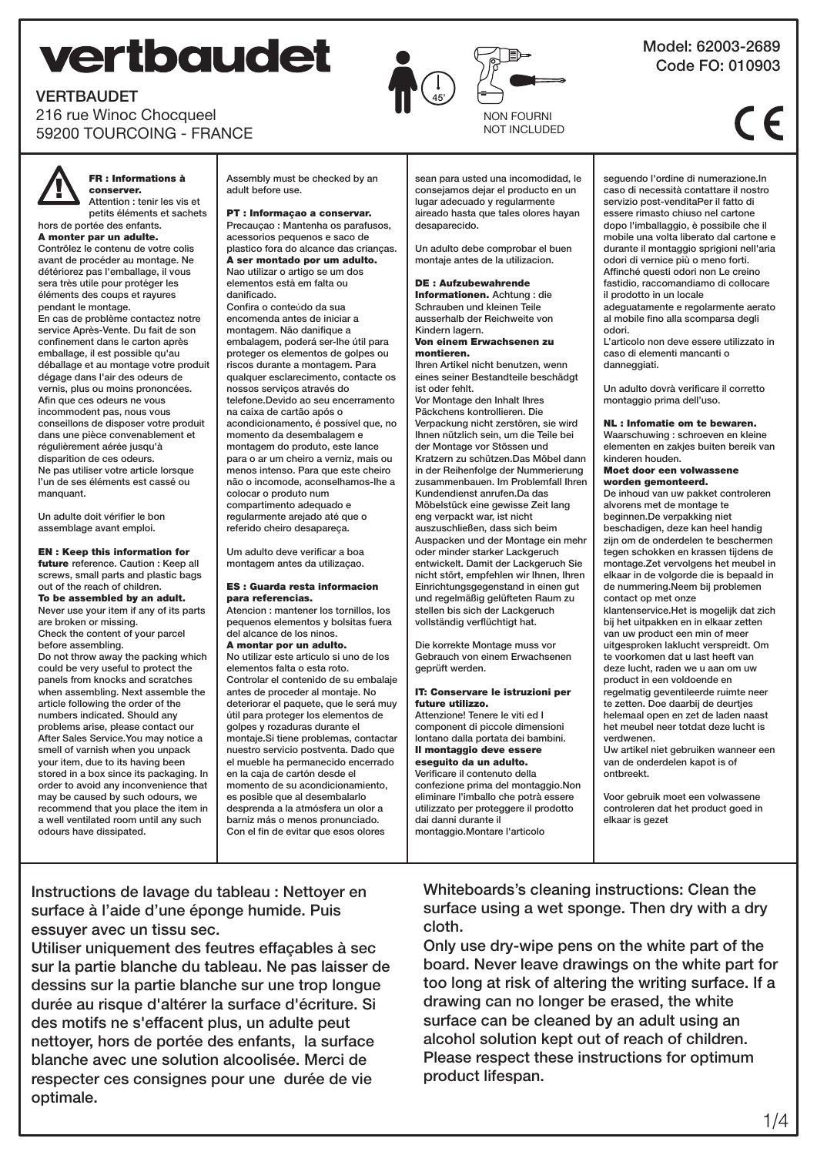# **vertbaudet**





NON FOURNI NOT INCLUDED

## FR : Informations à conserver. Attention : tenir les vis et

petits éléments et sachets hors de portée des enfants.

216 rue Winoc Chocqueel 59200 TOURCOING - FRANCE

### A monter par un adulte.

VERTBAUDET

Contrôlez le contenu de votre colis avant de procéder au montage. Ne détériorez pas l'emballage, il vous sera très utile pour protéger les éléments des coups et rayures pendant le montage.

En cas de problème contactez notre service Après-Vente. Du fait de son confinement dans le carton après emballage, il est possible qu'au déballage et au montage votre produit dégage dans l'air des odeurs de vernis, plus ou moins prononcées. Afin que ces odeurs ne vous incommodent pas, nous vous conseillons de disposer votre produit dans une pièce convenablement et régulièrement aérée jusqu'à disparition de ces odeurs. Ne pas utiliser votre article lorsque l'un de ses éléments est cassé ou manquant.

Un adulte doit vérifier le bon assemblage avant emploi.

EN : Keep this information for future reference. Caution : Keep all screws, small parts and plastic bags out of the reach of children. To be assembled by an adult. Never use your item if any of its parts

are broken or missing. Check the content of your parcel before assembling. Do not throw away the packing which could be very useful to protect the panels from knocks and scratches when assembling. Next assemble the article following the order of the numbers indicated. Should any problems arise, please contact our After Sales Service.You may notice a smell of varnish when you unpack your item, due to its having been stored in a box since its packaging. In order to avoid any inconvenience that may be caused by such odours, we recommend that you place the item in a well ventilated room until any such odours have dissipated.

Assembly must be checked by an adult before use.

PT : Informaçao a conservar. Precauçao : Mantenha os parafusos, acessorios pequenos e saco de plastico fora do alcance das crianças. A ser montado por um adulto. Nao utilizar o artigo se um dos elementos està em falta ou danificado.

Confira o conteúdo da sua encomenda antes de iniciar a montagem. Não danifique a embalagem, poderá ser-lhe útil para proteger os elementos de golpes ou riscos durante a montagem. Para qualquer esclarecimento, contacte os nossos serviços através do telefone.Devido ao seu encerramento na caixa de cartão após o acondicionamento, é possível que, no momento da desembalagem e montagem do produto, este lance para o ar um cheiro a verniz, mais ou menos intenso. Para que este cheiro não o incomode, aconselhamos-lhe a colocar o produto num compartimento adequado e regularmente arejado até que o referido cheiro desapareça.

Um adulto deve vericar a boa montagem antes da utilizaçao.

#### ES : Guarda resta informacion para referencias.

Atencion : mantener los tornillos, los pequenos elementos y bolsitas fuera del alcance de los ninos.

A montar por un adulto. No utilizar este articulo si uno de los elementos falta o esta roto. Controlar el contenido de su embalaje antes de proceder al montaje. No deteriorar el paquete, que le será muy útil para proteger los elementos de golpes y rozaduras durante el montaje.Si tiene problemas, contactar nuestro servicio postventa. Dado que el mueble ha permanecido encerrado en la caja de cartón desde el momento de su acondicionamiento, es posible que al desembalarlo desprenda a la atmósfera un olor a barniz más o menos pronunciado. Con el fin de evitar que esos olores

sean para usted una incomodidad, le consejamos dejar el producto en un lugar adecuado y regularmente aireado hasta que tales olores hayan desaparecido.

Un adulto debe comprobar el buen montaje antes de la utilizacion.

# DE : Aufzubewahrende

Informationen. Achtung : die Schrauben und kleinen Teile ausserhalb der Reichweite von Kindern lagern.

#### Von einem Erwachsenen zu montieren.

Ihren Artikel nicht benutzen, wenn eines seiner Bestandteile beschädgt ist oder fehlt.

Vor Montage den Inhalt Ihres Päckchens kontrollieren. Die Verpackung nicht zerstören, sie wird Ihnen nützlich sein, um die Teile bei der Montage vor Stössen und Kratzern zu schützen.Das Möbel dann in der Reihenfolge der Nummerierung zusammenbauen. Im Problemfall Ihren Kundendienst anrufen.Da das Möbelstück eine gewisse Zeit lang eng verpackt war, ist nicht auszuschließen, dass sich beim Auspacken und der Montage ein mehr oder minder starker Lackgeruch entwickelt. Damit der Lackgeruch Sie nicht stört, empfehlen wir Ihnen, Ihren Einrichtungsgegenstand in einen gut und regelmäßig gelüfteten Raum zu stellen bis sich der Lackgeruch vollständig verflüchtigt hat.

Die korrekte Montage muss vor Gebrauch von einem Erwachsenen geprüft werden.

#### IT: Conservare le istruzioni per future utilizzo.

Attenzione! Tenere le viti ed I component di piccole dimensioni lontano dalla portata dei bambini. Il montaggio deve essere eseguito da un adulto. Verificare il contenuto della confezione prima del montaggio.Non eliminare l'imballo che potrà essere utilizzato per proteggere il prodotto dai danni durante il montaggio.Montare l'articolo

seguendo l'ordine di numerazione.In caso di necessità contattare il nostro servizio post-venditaPer il fatto di essere rimasto chiuso nel cartone dopo l'imballaggio, è possibile che il mobile una volta liberato dal cartone e durante il montaggio sprigioni nell'aria odori di vernice più o meno forti. Affinché questi odori non Le creino fastidio, raccomandiamo di collocare il prodotto in un locale adeguatamente e regolarmente aerato al mobile fino alla scomparsa degli

odori. L'articolo non deve essere utilizzato in caso di elementi mancanti o danneggiati.

Un adulto dovrà verificare il corretto montaggio prima dell'uso.

# NL : Infomatie om te bewaren.

Waarschuwing : schroeven en kleine elementen en zakjes buiten bereik van kinderen houden.

#### Moet door een volwassene worden gemonteerd.

De inhoud van uw pakket controleren alvorens met de montage te beginnen.De verpakking niet beschadigen, deze kan heel handig zijn om de onderdelen te beschermen tegen schokken en krassen tijdens de montage.Zet vervolgens het meubel in elkaar in de volgorde die is bepaald in de nummering.Neem bij problemen contact op met onze

klantenservice.Het is mogelijk dat zich bij het uitpakken en in elkaar zetten van uw product een min of meer uitgesproken laklucht verspreidt. Om te voorkomen dat u last heeft van deze lucht, raden we u aan om uw product in een voldoende en regelmatig geventileerde ruimte neer te zetten. Doe daarbij de deurtjes helemaal open en zet de laden naast het meubel neer totdat deze lucht is verdwenen.

Uw artikel niet gebruiken wanneer een van de onderdelen kapot is of ontbreekt.

Voor gebruik moet een volwassene controleren dat het product goed in elkaar is gezet

# Instructions de lavage du tableau : Nettoyer en surface à l'aide d'une éponge humide. Puis essuyer avec un tissu sec.

Utiliser uniquement des feutres effaçables à sec sur la partie blanche du tableau. Ne pas laisser de dessins sur la partie blanche sur une trop longue durée au risque d'altérer la surface d'écriture. Si des motifs ne s'effacent plus, un adulte peut nettoyer, hors de portée des enfants, la surface blanche avec une solution alcoolisée. Merci de respecter ces consignes pour une durée de vie optimale.

Whiteboards's cleaning instructions: Clean the surface using a wet sponge. Then dry with a dry cloth.

Only use dry-wipe pens on the white part of the board. Never leave drawings on the white part for too long at risk of altering the writing surface. If a drawing can no longer be erased, the white surface can be cleaned by an adult using an alcohol solution kept out of reach of children. Please respect these instructions for optimum product lifespan.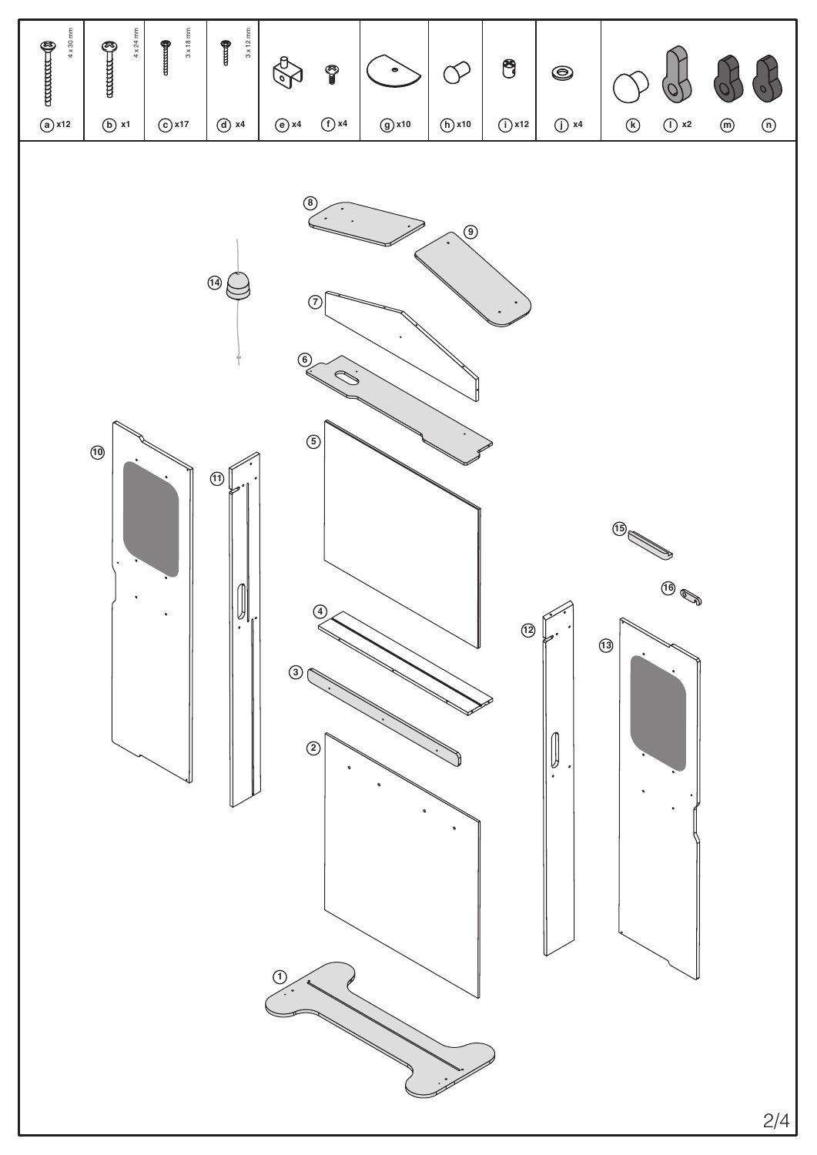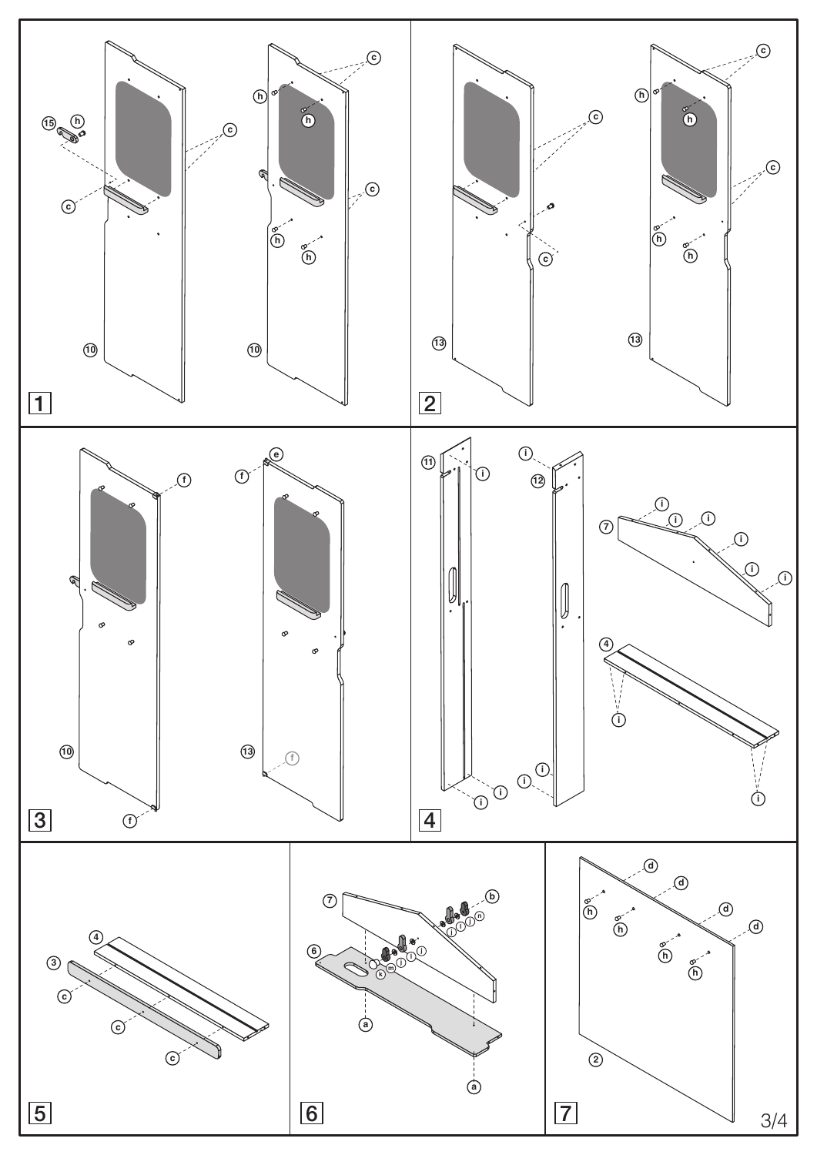